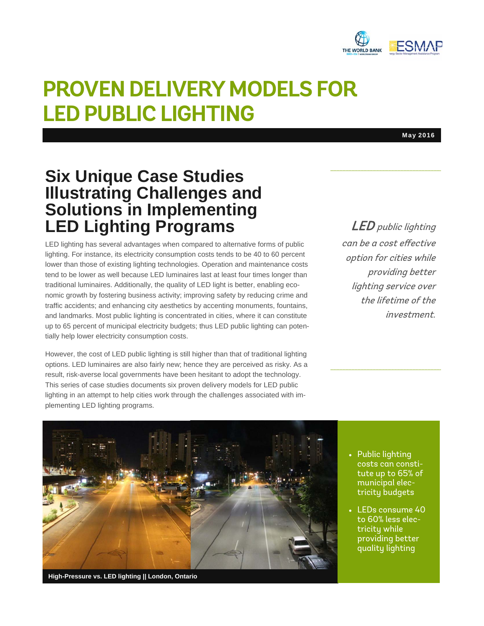

# **PROVEN DELIVERY MODELS FOR LED PUBLIC LIGHTING**

May 2016

### **Six Unique Case Studies Illustrating Challenges and Solutions in Implementing LED Lighting Programs**

LED lighting has several advantages when compared to alternative forms of public lighting. For instance, its electricity consumption costs tends to be 40 to 60 percent lower than those of existing lighting technologies. Operation and maintenance costs tend to be lower as well because LED luminaires last at least four times longer than traditional luminaires. Additionally, the quality of LED light is better, enabling economic growth by fostering business activity; improving safety by reducing crime and traffic accidents; and enhancing city aesthetics by accenting monuments, fountains, and landmarks. Most public lighting is concentrated in cities, where it can constitute up to 65 percent of municipal electricity budgets; thus LED public lighting can potentially help lower electricity consumption costs.

However, the cost of LED public lighting is still higher than that of traditional lighting options. LED luminaires are also fairly new; hence they are perceived as risky. As a result, risk-averse local governments have been hesitant to adopt the technology. This series of case studies documents six proven delivery models for LED public lighting in an attempt to help cities work through the challenges associated with implementing LED lighting programs.

LED public lighting can be a cost effective option for cities while

providing better lighting service over the lifetime of the investment.



**High-Pressure vs. LED lighting || London, Ontario** 

- Public lighting costs can constitute up to 65% of municipal electricity budgets
- LEDs consume 40 to 60% less electricity while providing better quality lighting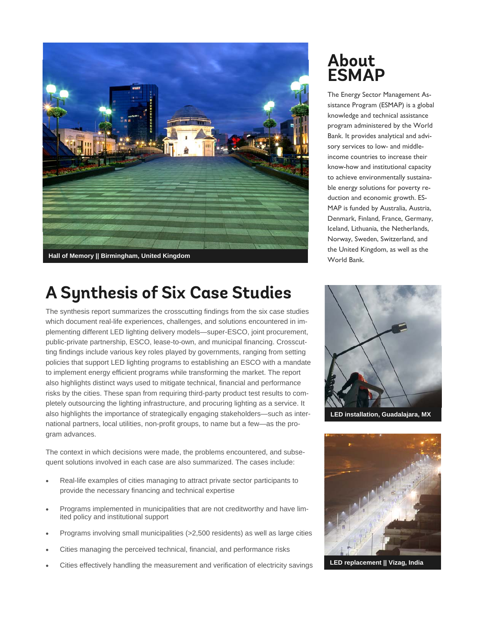

# **A Synthesis of Six Case Studies**

The synthesis report summarizes the crosscutting findings from the six case studies which document real-life experiences, challenges, and solutions encountered in implementing different LED lighting delivery models—super-ESCO, joint procurement, public-private partnership, ESCO, lease-to-own, and municipal financing. Crosscutting findings include various key roles played by governments, ranging from setting policies that support LED lighting programs to establishing an ESCO with a mandate to implement energy efficient programs while transforming the market. The report also highlights distinct ways used to mitigate technical, financial and performance risks by the cities. These span from requiring third-party product test results to completely outsourcing the lighting infrastructure, and procuring lighting as a service. It also highlights the importance of strategically engaging stakeholders—such as international partners, local utilities, non-profit groups, to name but a few—as the program advances.

The context in which decisions were made, the problems encountered, and subsequent solutions involved in each case are also summarized. The cases include:

- Real-life examples of cities managing to attract private sector participants to provide the necessary financing and technical expertise
- Programs implemented in municipalities that are not creditworthy and have limited policy and institutional support
- Programs involving small municipalities (>2,500 residents) as well as large cities
- Cities managing the perceived technical, financial, and performance risks
- Cities effectively handling the measurement and verification of electricity savings

## **About ESMAP**

The Energy Sector Management Assistance Program (ESMAP) is a global knowledge and technical assistance program administered by the World Bank. It provides analytical and advisory services to low- and middleincome countries to increase their know-how and institutional capacity to achieve environmentally sustainable energy solutions for poverty reduction and economic growth. ES-MAP is funded by Australia, Austria, Denmark, Finland, France, Germany, Iceland, Lithuania, the Netherlands, Norway, Sweden, Switzerland, and the United Kingdom, as well as the World Bank.



**LED installation, Guadalajara, MX** 



**LED replacement || Vizag, India**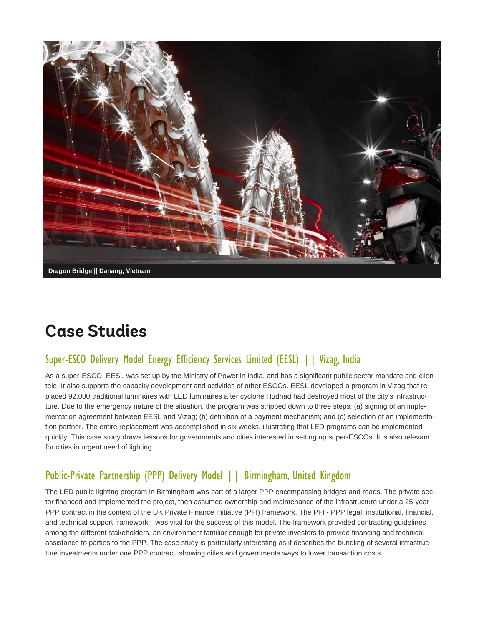

# **Case Studies**

#### Super-ESCO Delivery Model Energy Efficiency Services Limited (EESL) || Vizag, India

As a super-ESCO, EESL was set up by the Ministry of Power in India, and has a significant public sector mandate and clientele. It also supports the capacity development and activities of other ESCOs. EESL developed a program in Vizag that replaced 92,000 traditional luminaires with LED luminaires after cyclone Hudhad had destroyed most of the city's infrastructure. Due to the emergency nature of the situation, the program was stripped down to three steps: (a) signing of an implementation agreement between EESL and Vizag; (b) definition of a payment mechanism; and (c) selection of an implementation partner. The entire replacement was accomplished in six weeks, illustrating that LED programs can be implemented quickly. This case study draws lessons for governments and cities interested in setting up super-ESCOs. It is also relevant for cities in urgent need of lighting.

#### Public-Private Partnership (PPP) Delivery Model | | Birmingham, United Kingdom

The LED public lighting program in Birmingham was part of a larger PPP encompassing bridges and roads. The private sector financed and implemented the project, then assumed ownership and maintenance of the infrastructure under a 25-year PPP contract in the context of the UK Private Finance Initiative (PFI) framework. The PFI - PPP legal, institutional, financial, and technical support framework—was vital for the success of this model. The framework provided contracting guidelines among the different stakeholders, an environment familiar enough for private investors to provide financing and technical assistance to parties to the PPP. The case study is particularly interesting as it describes the bundling of several infrastructure investments under one PPP contract, showing cities and governments ways to lower transaction costs.